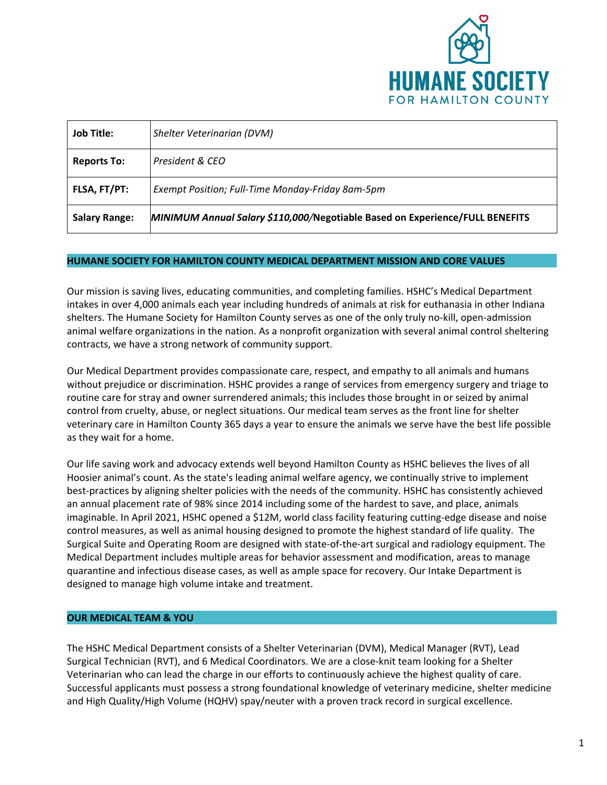

| <b>Job Title:</b>    | Shelter Veterinarian (DVM)                                                   |
|----------------------|------------------------------------------------------------------------------|
| <b>Reports To:</b>   | President & CEO                                                              |
| FLSA, FT/PT:         | Exempt Position; Full-Time Monday-Friday 8am-5pm                             |
| <b>Salary Range:</b> | MINIMUM Annual Salary \$110,000/Negotiable Based on Experience/FULL BENEFITS |

#### **HUMANE SOCIETY FOR HAMILTON COUNTY MEDICAL DEPARTMENT MISSION AND CORE VALUES**

Our mission is saving lives, educating communities, and completing families. HSHC's Medical Department intakes in over 4,000 animals each year including hundreds of animals at risk for euthanasia in other Indiana shelters. The Humane Society for Hamilton County serves as one of the only truly no-kill, open-admission animal welfare organizations in the nation. As a nonprofit organization with several animal control sheltering contracts, we have a strong network of community support.

Our Medical Department provides compassionate care, respect, and empathy to all animals and humans without prejudice or discrimination. HSHC provides a range of services from emergency surgery and triage to routine care for stray and owner surrendered animals; this includes those brought in or seized by animal control from cruelty, abuse, or neglect situations. Our medical team serves as the front line for shelter veterinary care in Hamilton County 365 days a year to ensure the animals we serve have the best life possible as they wait for a home.

Our life saving work and advocacy extends well beyond Hamilton County as HSHC believes the lives of all Hoosier animal's count. As the state's leading animal welfare agency, we continually strive to implement best-practices by aligning shelter policies with the needs of the community. HSHC has consistently achieved an annual placement rate of 98% since 2014 including some of the hardest to save, and place, animals imaginable. In April 2021, HSHC opened a \$12M, world class facility featuring cutting-edge disease and noise control measures, as well as animal housing designed to promote the highest standard of life quality. The Surgical Suite and Operating Room are designed with state-of-the-art surgical and radiology equipment. The Medical Department includes multiple areas for behavior assessment and modification, areas to manage quarantine and infectious disease cases, as well as ample space for recovery. Our Intake Department is designed to manage high volume intake and treatment.

# **OUR MEDICAL TEAM & YOU**

The HSHC Medical Department consists of a Shelter Veterinarian (DVM), Medical Manager (RVT), Lead Surgical Technician (RVT), and 6 Medical Coordinators. We are a close-knit team looking for a Shelter Veterinarian who can lead the charge in our efforts to continuously achieve the highest quality of care. Successful applicants must possess a strong foundational knowledge of veterinary medicine, shelter medicine and High Quality/High Volume (HQHV) spay/neuter with a proven track record in surgical excellence.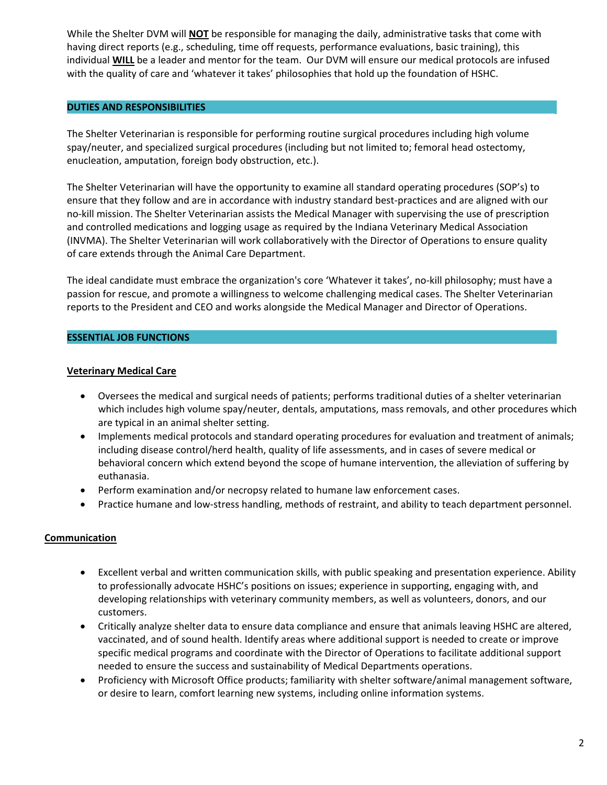While the Shelter DVM will **NOT** be responsible for managing the daily, administrative tasks that come with having direct reports (e.g., scheduling, time off requests, performance evaluations, basic training), this individual **WILL** be a leader and mentor for the team. Our DVM will ensure our medical protocols are infused with the quality of care and 'whatever it takes' philosophies that hold up the foundation of HSHC.

### **DUTIES AND RESPONSIBILITIES**

The Shelter Veterinarian is responsible for performing routine surgical procedures including high volume spay/neuter, and specialized surgical procedures (including but not limited to; femoral head ostectomy, enucleation, amputation, foreign body obstruction, etc.).

The Shelter Veterinarian will have the opportunity to examine all standard operating procedures (SOP's) to ensure that they follow and are in accordance with industry standard best-practices and are aligned with our no-kill mission. The Shelter Veterinarian assists the Medical Manager with supervising the use of prescription and controlled medications and logging usage as required by the Indiana Veterinary Medical Association (INVMA). The Shelter Veterinarian will work collaboratively with the Director of Operations to ensure quality of care extends through the Animal Care Department.

The ideal candidate must embrace the organization's core 'Whatever it takes', no-kill philosophy; must have a passion for rescue, and promote a willingness to welcome challenging medical cases. The Shelter Veterinarian reports to the President and CEO and works alongside the Medical Manager and Director of Operations.

### **ESSENTIAL JOB FUNCTIONS**

### **Veterinary Medical Care**

- Oversees the medical and surgical needs of patients; performs traditional duties of a shelter veterinarian which includes high volume spay/neuter, dentals, amputations, mass removals, and other procedures which are typical in an animal shelter setting.
- Implements medical protocols and standard operating procedures for evaluation and treatment of animals; including disease control/herd health, quality of life assessments, and in cases of severe medical or behavioral concern which extend beyond the scope of humane intervention, the alleviation of suffering by euthanasia.
- Perform examination and/or necropsy related to humane law enforcement cases.
- Practice humane and low-stress handling, methods of restraint, and ability to teach department personnel.

# **Communication**

- Excellent verbal and written communication skills, with public speaking and presentation experience. Ability to professionally advocate HSHC's positions on issues; experience in supporting, engaging with, and developing relationships with veterinary community members, as well as volunteers, donors, and our customers.
- Critically analyze shelter data to ensure data compliance and ensure that animals leaving HSHC are altered, vaccinated, and of sound health. Identify areas where additional support is needed to create or improve specific medical programs and coordinate with the Director of Operations to facilitate additional support needed to ensure the success and sustainability of Medical Departments operations.
- Proficiency with Microsoft Office products; familiarity with shelter software/animal management software, or desire to learn, comfort learning new systems, including online information systems.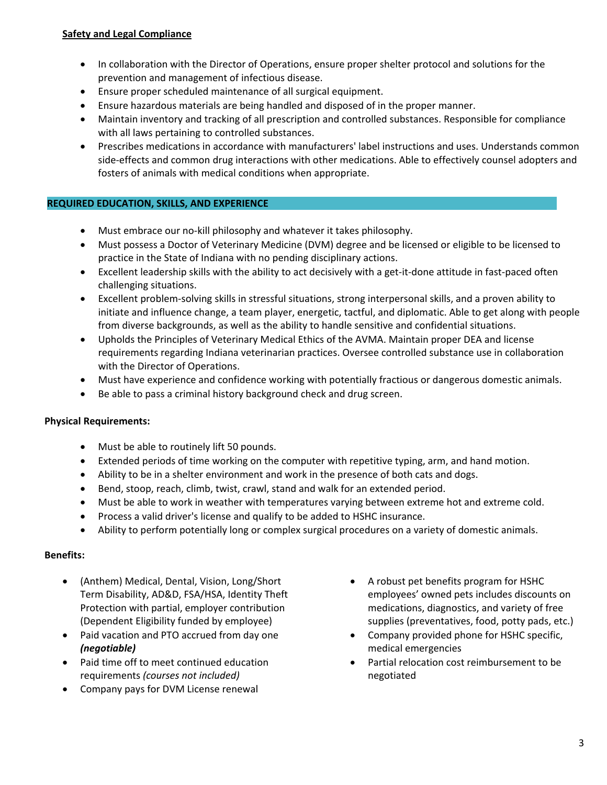# **Safety and Legal Compliance**

- In collaboration with the Director of Operations, ensure proper shelter protocol and solutions for the prevention and management of infectious disease.
- Ensure proper scheduled maintenance of all surgical equipment.
- Ensure hazardous materials are being handled and disposed of in the proper manner.
- Maintain inventory and tracking of all prescription and controlled substances. Responsible for compliance with all laws pertaining to controlled substances.
- Prescribes medications in accordance with manufacturers' label instructions and uses. Understands common side-effects and common drug interactions with other medications. Able to effectively counsel adopters and fosters of animals with medical conditions when appropriate.

# **REQUIRED EDUCATION, SKILLS, AND EXPERIENCE**

- Must embrace our no-kill philosophy and whatever it takes philosophy.
- Must possess a Doctor of Veterinary Medicine (DVM) degree and be licensed or eligible to be licensed to practice in the State of Indiana with no pending disciplinary actions.
- Excellent leadership skills with the ability to act decisively with a get-it-done attitude in fast-paced often challenging situations.
- Excellent problem-solving skills in stressful situations, strong interpersonal skills, and a proven ability to initiate and influence change, a team player, energetic, tactful, and diplomatic. Able to get along with people from diverse backgrounds, as well as the ability to handle sensitive and confidential situations.
- Upholds the Principles of Veterinary Medical Ethics of the AVMA. Maintain proper DEA and license requirements regarding Indiana veterinarian practices. Oversee controlled substance use in collaboration with the Director of Operations.
- Must have experience and confidence working with potentially fractious or dangerous domestic animals.
- Be able to pass a criminal history background check and drug screen.

# **Physical Requirements:**

- Must be able to routinely lift 50 pounds.
- Extended periods of time working on the computer with repetitive typing, arm, and hand motion.
- Ability to be in a shelter environment and work in the presence of both cats and dogs.
- Bend, stoop, reach, climb, twist, crawl, stand and walk for an extended period.
- Must be able to work in weather with temperatures varying between extreme hot and extreme cold.
- Process a valid driver's license and qualify to be added to HSHC insurance.
- Ability to perform potentially long or complex surgical procedures on a variety of domestic animals.

# **Benefits:**

- (Anthem) Medical, Dental, Vision, Long/Short Term Disability, AD&D, FSA/HSA, Identity Theft Protection with partial, employer contribution (Dependent Eligibility funded by employee)
- Paid vacation and PTO accrued from day one *(negotiable)*
- Paid time off to meet continued education requirements *(courses not included)*
- Company pays for DVM License renewal
- A robust pet benefits program for HSHC employees' owned pets includes discounts on medications, diagnostics, and variety of free supplies (preventatives, food, potty pads, etc.)
- Company provided phone for HSHC specific, medical emergencies
- Partial relocation cost reimbursement to be negotiated